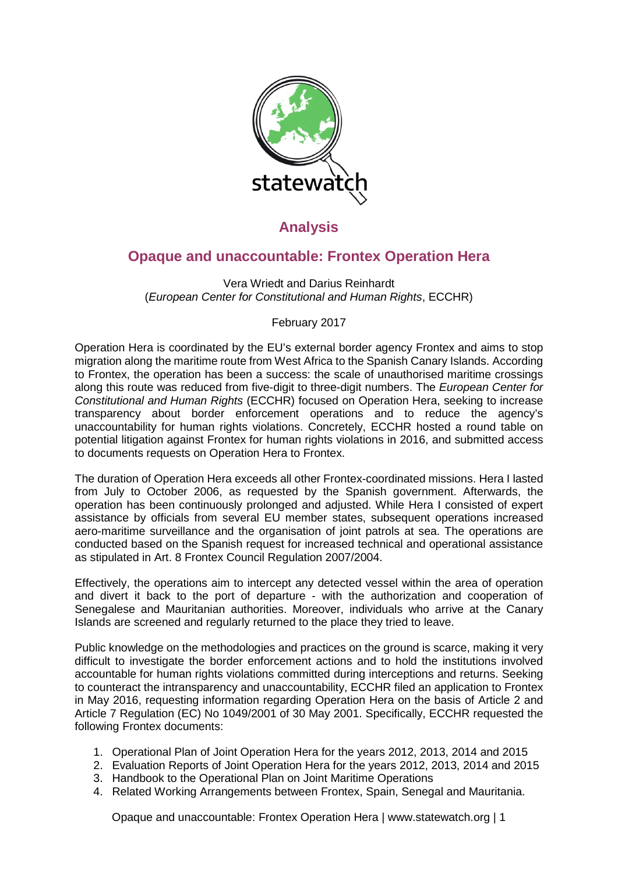

# **Analysis**

## **Opaque and unaccountable: Frontex Operation Hera**

Vera Wriedt and Darius Reinhardt (*European Center for Constitutional and Human Rights*, ECCHR)

### February 2017

Operation Hera is coordinated by the EU's external border agency Frontex and aims to stop migration along the maritime route from West Africa to the Spanish Canary Islands. According to Frontex, the operation has been a success: the scale of unauthorised maritime crossings along this route was reduced from five-digit to three-digit numbers. The *European Center for Constitutional and Human Rights* (ECCHR) focused on Operation Hera, seeking to increase transparency about border enforcement operations and to reduce the agency's unaccountability for human rights violations. Concretely, ECCHR hosted a round table on potential litigation against Frontex for human rights violations in 2016, and submitted access to documents requests on Operation Hera to Frontex.

The duration of Operation Hera exceeds all other Frontex-coordinated missions. Hera I lasted from July to October 2006, as requested by the Spanish government. Afterwards, the operation has been continuously prolonged and adjusted. While Hera I consisted of expert assistance by officials from several EU member states, subsequent operations increased aero-maritime surveillance and the organisation of joint patrols at sea. The operations are conducted based on the Spanish request for increased technical and operational assistance as stipulated in Art. 8 Frontex Council Regulation 2007/2004.

Effectively, the operations aim to intercept any detected vessel within the area of operation and divert it back to the port of departure - with the authorization and cooperation of Senegalese and Mauritanian authorities. Moreover, individuals who arrive at the Canary Islands are screened and regularly returned to the place they tried to leave.

Public knowledge on the methodologies and practices on the ground is scarce, making it very difficult to investigate the border enforcement actions and to hold the institutions involved accountable for human rights violations committed during interceptions and returns. Seeking to counteract the intransparency and unaccountability, ECCHR filed an application to Frontex in May 2016, requesting information regarding Operation Hera on the basis of Article 2 and Article 7 Regulation (EC) No 1049/2001 of 30 May 2001. Specifically, ECCHR requested the following Frontex documents:

- 1. Operational Plan of Joint Operation Hera for the years 2012, 2013, 2014 and 2015
- 2. Evaluation Reports of Joint Operation Hera for the years 2012, 2013, 2014 and 2015
- 3. Handbook to the Operational Plan on Joint Maritime Operations
- 4. Related Working Arrangements between Frontex, Spain, Senegal and Mauritania.

Opaque and unaccountable: Frontex Operation Hera | www.statewatch.org | 1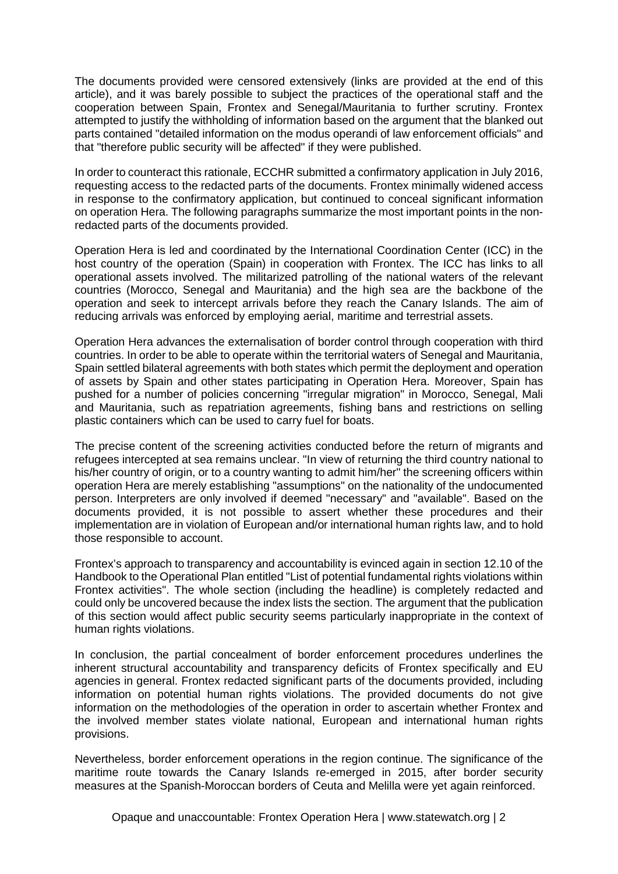The documents provided were censored extensively (links are provided at the end of this article), and it was barely possible to subject the practices of the operational staff and the cooperation between Spain, Frontex and Senegal/Mauritania to further scrutiny. Frontex attempted to justify the withholding of information based on the argument that the blanked out parts contained "detailed information on the modus operandi of law enforcement officials" and that "therefore public security will be affected" if they were published.

In order to counteract this rationale, ECCHR submitted a confirmatory application in July 2016, requesting access to the redacted parts of the documents. Frontex minimally widened access in response to the confirmatory application, but continued to conceal significant information on operation Hera. The following paragraphs summarize the most important points in the nonredacted parts of the documents provided.

Operation Hera is led and coordinated by the International Coordination Center (ICC) in the host country of the operation (Spain) in cooperation with Frontex. The ICC has links to all operational assets involved. The militarized patrolling of the national waters of the relevant countries (Morocco, Senegal and Mauritania) and the high sea are the backbone of the operation and seek to intercept arrivals before they reach the Canary Islands. The aim of reducing arrivals was enforced by employing aerial, maritime and terrestrial assets.

Operation Hera advances the externalisation of border control through cooperation with third countries. In order to be able to operate within the territorial waters of Senegal and Mauritania, Spain settled bilateral agreements with both states which permit the deployment and operation of assets by Spain and other states participating in Operation Hera. Moreover, Spain has pushed for a number of policies concerning "irregular migration" in Morocco, Senegal, Mali and Mauritania, such as repatriation agreements, fishing bans and restrictions on selling plastic containers which can be used to carry fuel for boats.

The precise content of the screening activities conducted before the return of migrants and refugees intercepted at sea remains unclear. "In view of returning the third country national to his/her country of origin, or to a country wanting to admit him/her" the screening officers within operation Hera are merely establishing "assumptions" on the nationality of the undocumented person. Interpreters are only involved if deemed "necessary" and "available". Based on the documents provided, it is not possible to assert whether these procedures and their implementation are in violation of European and/or international human rights law, and to hold those responsible to account.

Frontex's approach to transparency and accountability is evinced again in section 12.10 of the Handbook to the Operational Plan entitled "List of potential fundamental rights violations within Frontex activities". The whole section (including the headline) is completely redacted and could only be uncovered because the index lists the section. The argument that the publication of this section would affect public security seems particularly inappropriate in the context of human rights violations.

In conclusion, the partial concealment of border enforcement procedures underlines the inherent structural accountability and transparency deficits of Frontex specifically and EU agencies in general. Frontex redacted significant parts of the documents provided, including information on potential human rights violations. The provided documents do not give information on the methodologies of the operation in order to ascertain whether Frontex and the involved member states violate national, European and international human rights provisions.

Nevertheless, border enforcement operations in the region continue. The significance of the maritime route towards the Canary Islands re-emerged in 2015, after border security measures at the Spanish-Moroccan borders of Ceuta and Melilla were yet again reinforced.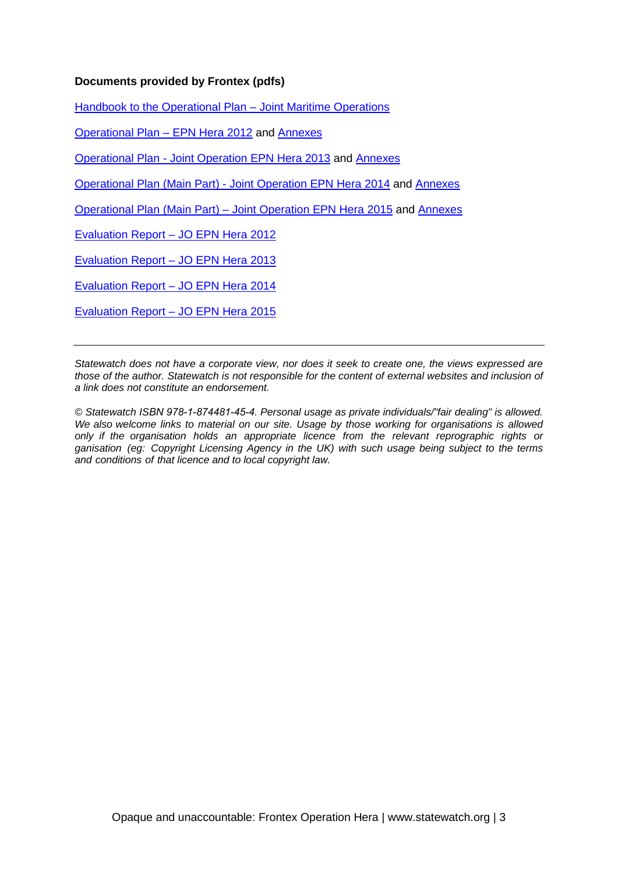#### **Documents provided by Frontex (pdfs)**

[Handbook to the Operational Plan – Joint Maritime Operations](http://www.statewatch.org/news/2017/feb/eu-frontex-handbook-joint-maritime-operations-censored.pdf)

[Operational Plan – EPN Hera 2012](http://www.statewatch.org/news/2017/feb/eu-frontex-operationa-hera-op-plan-2012.pdf) and [Annexes](http://www.statewatch.org/news/2017/feb/eu-frontex-operation-hera-2012-annexes-censored.pdf)

[Operational Plan - Joint Operation EPN Hera 2013](http://www.statewatch.org/news/2017/feb/eu-frontex-operationa-hera-op-plan-2013.pdf) and [Annexes](http://www.statewatch.org/news/2017/feb/eu-frontex-operation-hera-2013-annexes-censored.pdf)

[Operational Plan \(Main Part\) - Joint Operation EPN Hera 2014](http://www.statewatch.org/news/2017/feb/eu-frontex-operationa-hera-op-plan-2014.pdf) and [Annexes](http://www.statewatch.org/news/2017/feb/eu-frontex-operation-hera-2014-annexes-censored.pdf)

[Operational Plan \(Main Part\) – Joint Operation EPN Hera 2015](http://www.statewatch.org/news/2017/feb/eu-frontex-operationa-hera-op-plan-2015.pdf) and [Annexes](http://www.statewatch.org/news/2017/feb/eu-frontex-operation-hera-2015-annexes-censored.pdf)

[Evaluation Report – JO EPN Hera 2012](http://www.statewatch.org/news/2017/feb/eu-frontex-operation-hera-evaluation-report-2012-censored.pdf)

[Evaluation Report – JO EPN Hera 2013](http://www.statewatch.org/news/2017/feb/eu-frontex-operation-hera-evaluation-report-2013-censored.pdf)

[Evaluation Report – JO EPN Hera 2014](http://www.statewatch.org/news/2017/feb/eu-frontex-operation-hera-evaluation-report-2014-censored.pdf)

[Evaluation Report – JO EPN Hera 2015](http://www.statewatch.org/news/2017/feb/eu-frontex-operation-hera-evaluation-report-2015.pdf)

*Statewatch does not have a corporate view, nor does it seek to create one, the views expressed are those of the author. Statewatch is not responsible for the content of external websites and inclusion of a link does not constitute an endorsement.*

*© Statewatch ISBN 978-1-874481-45-4. Personal usage as private individuals/"fair dealing" is allowed. We also welcome links to material on our site. Usage by those working for organisations is allowed only if the organisation holds an appropriate licence from the relevant reprographic rights or ganisation (eg: Copyright Licensing Agency in the UK) with such usage being subject to the terms and conditions of that licence and to local copyright law.*